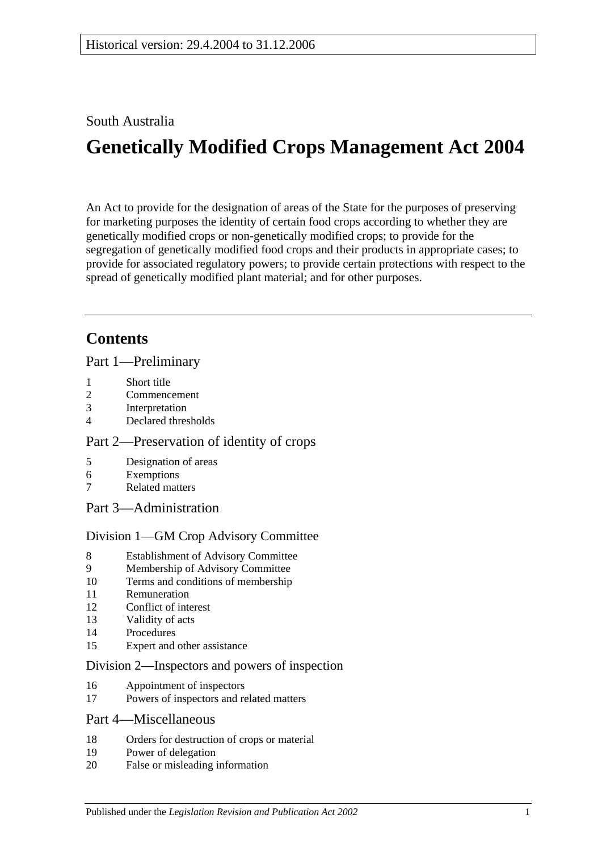### South Australia

# **Genetically Modified Crops Management Act 2004**

An Act to provide for the designation of areas of the State for the purposes of preserving for marketing purposes the identity of certain food crops according to whether they are genetically modified crops or non-genetically modified crops; to provide for the segregation of genetically modified food crops and their products in appropriate cases; to provide for associated regulatory powers; to provide certain protections with respect to the spread of genetically modified plant material; and for other purposes.

# **Contents**

[Part 1—Preliminary](#page-1-0)

- 1 [Short title](#page-1-1)
- 2 [Commencement](#page-1-2)
- 3 [Interpretation](#page-1-3)
- 4 [Declared thresholds](#page-3-0)

### [Part 2—Preservation of identity of crops](#page-3-1)

- 5 [Designation of areas](#page-3-2)
- 6 [Exemptions](#page-5-0)
- 7 [Related matters](#page-6-0)
- [Part 3—Administration](#page-6-1)

### [Division 1—GM Crop Advisory Committee](#page-6-2)

- 8 [Establishment of Advisory Committee](#page-6-3)
- 9 [Membership of Advisory Committee](#page-6-4)
- 10 [Terms and conditions of membership](#page-7-0)
- 11 [Remuneration](#page-8-0)
- 12 [Conflict of interest](#page-8-1)
- 13 [Validity of acts](#page-8-2)
- 14 [Procedures](#page-8-3)
- 15 [Expert and other assistance](#page-9-0)

### [Division 2—Inspectors and powers of inspection](#page-9-1)

- 16 [Appointment of inspectors](#page-9-2)
- 17 [Powers of inspectors and related matters](#page-10-0)

### [Part 4—Miscellaneous](#page-10-1)

- 18 [Orders for destruction of crops or material](#page-10-2)
- 19 [Power of delegation](#page-11-0)
- 20 [False or misleading information](#page-11-1)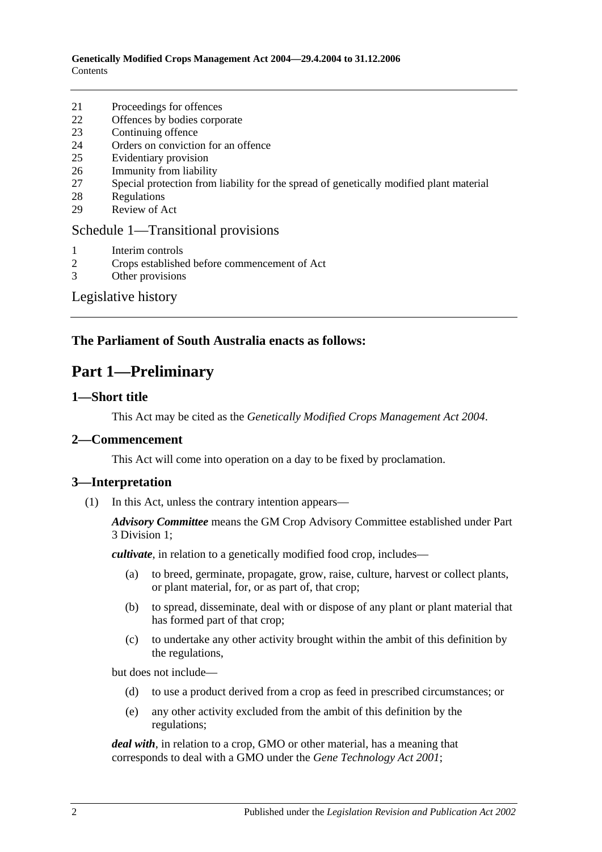**Genetically Modified Crops Management Act 2004—29.4.2004 to 31.12.2006 Contents** 

- 21 [Proceedings for offences](#page-11-2)
- 22 [Offences by bodies corporate](#page-11-3)
- 23 [Continuing offence](#page-12-0)
- 24 [Orders on conviction for an offence](#page-12-1)
- 25 [Evidentiary provision](#page-13-0)
- 26 [Immunity from liability](#page-13-1)
- 27 [Special protection from liability for the spread of genetically modified plant material](#page-13-2)
- 28 [Regulations](#page-14-0)
- 29 [Review of Act](#page-15-0)

#### [Schedule 1—Transitional provisions](#page-15-1)

- 1 [Interim controls](#page-15-2)<br>2 Crops establishe
- 2 [Crops established before commencement of Act](#page-15-3)
- 3 [Other provisions](#page-15-4)

[Legislative history](#page-17-0)

### <span id="page-1-0"></span>**The Parliament of South Australia enacts as follows:**

### **Part 1—Preliminary**

### <span id="page-1-1"></span>**1—Short title**

This Act may be cited as the *Genetically Modified Crops Management Act 2004*.

#### <span id="page-1-2"></span>**2—Commencement**

This Act will come into operation on a day to be fixed by proclamation.

#### <span id="page-1-3"></span>**3—Interpretation**

(1) In this Act, unless the contrary intention appears—

*Advisory Committee* means the GM Crop Advisory Committee established under [Part](#page-6-2)  [3 Division 1;](#page-6-2)

*cultivate*, in relation to a genetically modified food crop, includes—

- (a) to breed, germinate, propagate, grow, raise, culture, harvest or collect plants, or plant material, for, or as part of, that crop;
- (b) to spread, disseminate, deal with or dispose of any plant or plant material that has formed part of that crop;
- (c) to undertake any other activity brought within the ambit of this definition by the regulations,

but does not include—

- (d) to use a product derived from a crop as feed in prescribed circumstances; or
- (e) any other activity excluded from the ambit of this definition by the regulations;

*deal with*, in relation to a crop, GMO or other material, has a meaning that corresponds to deal with a GMO under the *[Gene Technology Act](http://www.legislation.sa.gov.au/index.aspx?action=legref&type=act&legtitle=Gene%20Technology%20Act%202001) 2001*;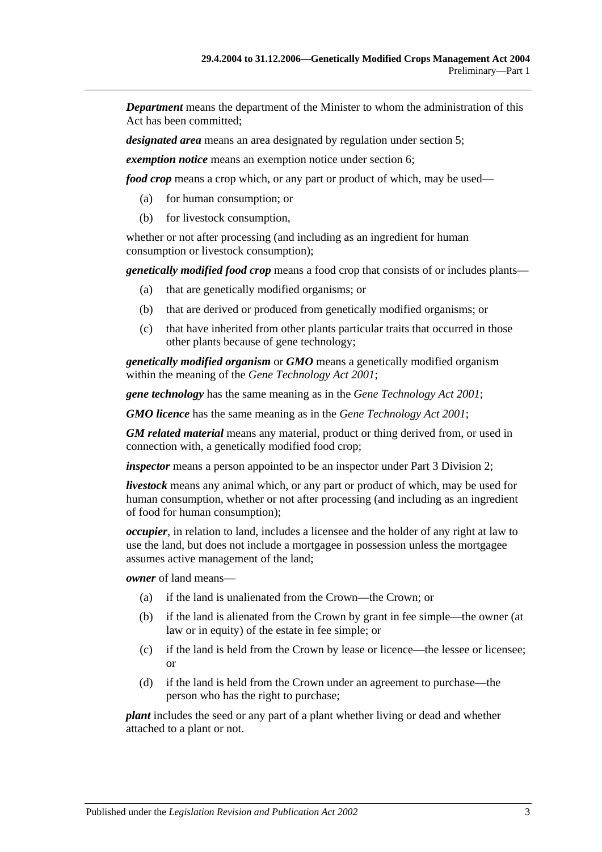*Department* means the department of the Minister to whom the administration of this Act has been committed;

*designated area* means an area designated by regulation under [section](#page-3-2) 5;

*exemption notice* means an exemption notice under [section](#page-5-0) 6;

*food crop* means a crop which, or any part or product of which, may be used—

- (a) for human consumption; or
- (b) for livestock consumption,

whether or not after processing (and including as an ingredient for human consumption or livestock consumption);

*genetically modified food crop* means a food crop that consists of or includes plants—

- (a) that are genetically modified organisms; or
- (b) that are derived or produced from genetically modified organisms; or
- (c) that have inherited from other plants particular traits that occurred in those other plants because of gene technology;

*genetically modified organism* or *GMO* means a genetically modified organism within the meaning of the *[Gene Technology Act](http://www.legislation.sa.gov.au/index.aspx?action=legref&type=act&legtitle=Gene%20Technology%20Act%202001) 2001*;

*gene technology* has the same meaning as in the *[Gene Technology Act](http://www.legislation.sa.gov.au/index.aspx?action=legref&type=act&legtitle=Gene%20Technology%20Act%202001) 2001*;

*GMO licence* has the same meaning as in the *[Gene Technology Act](http://www.legislation.sa.gov.au/index.aspx?action=legref&type=act&legtitle=Gene%20Technology%20Act%202001) 2001*;

*GM related material* means any material, product or thing derived from, or used in connection with, a genetically modified food crop;

*inspector* means a person appointed to be an inspector under [Part 3 Division 2;](#page-9-1)

*livestock* means any animal which, or any part or product of which, may be used for human consumption, whether or not after processing (and including as an ingredient of food for human consumption);

*occupier*, in relation to land, includes a licensee and the holder of any right at law to use the land, but does not include a mortgagee in possession unless the mortgagee assumes active management of the land;

*owner* of land means—

- (a) if the land is unalienated from the Crown—the Crown; or
- (b) if the land is alienated from the Crown by grant in fee simple—the owner (at law or in equity) of the estate in fee simple; or
- (c) if the land is held from the Crown by lease or licence—the lessee or licensee; or
- (d) if the land is held from the Crown under an agreement to purchase—the person who has the right to purchase;

*plant* includes the seed or any part of a plant whether living or dead and whether attached to a plant or not.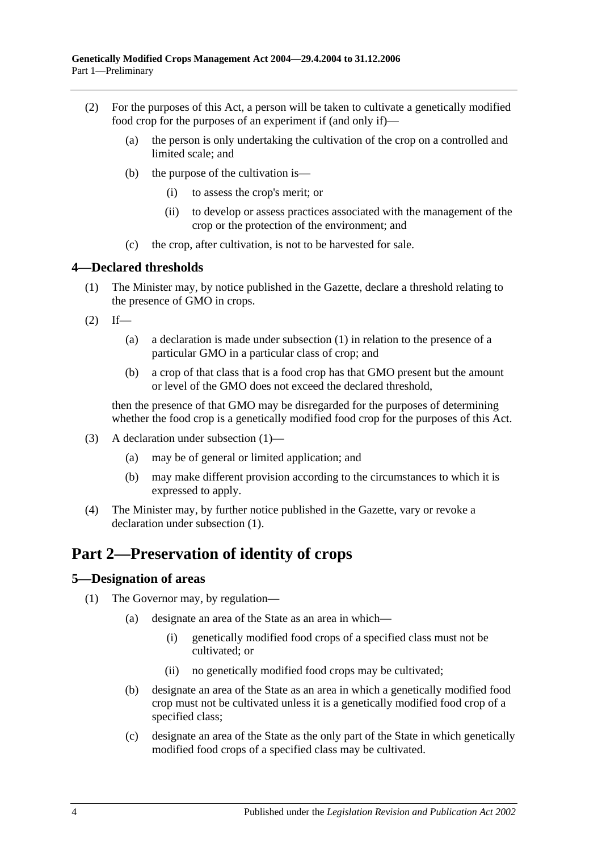- (2) For the purposes of this Act, a person will be taken to cultivate a genetically modified food crop for the purposes of an experiment if (and only if)—
	- (a) the person is only undertaking the cultivation of the crop on a controlled and limited scale; and
	- (b) the purpose of the cultivation is—
		- (i) to assess the crop's merit; or
		- (ii) to develop or assess practices associated with the management of the crop or the protection of the environment; and
	- (c) the crop, after cultivation, is not to be harvested for sale.

### <span id="page-3-3"></span><span id="page-3-0"></span>**4—Declared thresholds**

- (1) The Minister may, by notice published in the Gazette, declare a threshold relating to the presence of GMO in crops.
- $(2)$  If—
	- (a) a declaration is made under subsection (1) in relation to the presence of a particular GMO in a particular class of crop; and
	- (b) a crop of that class that is a food crop has that GMO present but the amount or level of the GMO does not exceed the declared threshold,

then the presence of that GMO may be disregarded for the purposes of determining whether the food crop is a genetically modified food crop for the purposes of this Act.

- (3) A declaration under [subsection](#page-3-3) (1)—
	- (a) may be of general or limited application; and
	- (b) may make different provision according to the circumstances to which it is expressed to apply.
- (4) The Minister may, by further notice published in the Gazette, vary or revoke a declaration under [subsection](#page-3-3) (1).

### <span id="page-3-1"></span>**Part 2—Preservation of identity of crops**

### <span id="page-3-4"></span><span id="page-3-2"></span>**5—Designation of areas**

- <span id="page-3-6"></span><span id="page-3-5"></span>(1) The Governor may, by regulation—
	- (a) designate an area of the State as an area in which—
		- (i) genetically modified food crops of a specified class must not be cultivated; or
		- (ii) no genetically modified food crops may be cultivated;
	- (b) designate an area of the State as an area in which a genetically modified food crop must not be cultivated unless it is a genetically modified food crop of a specified class;
	- (c) designate an area of the State as the only part of the State in which genetically modified food crops of a specified class may be cultivated.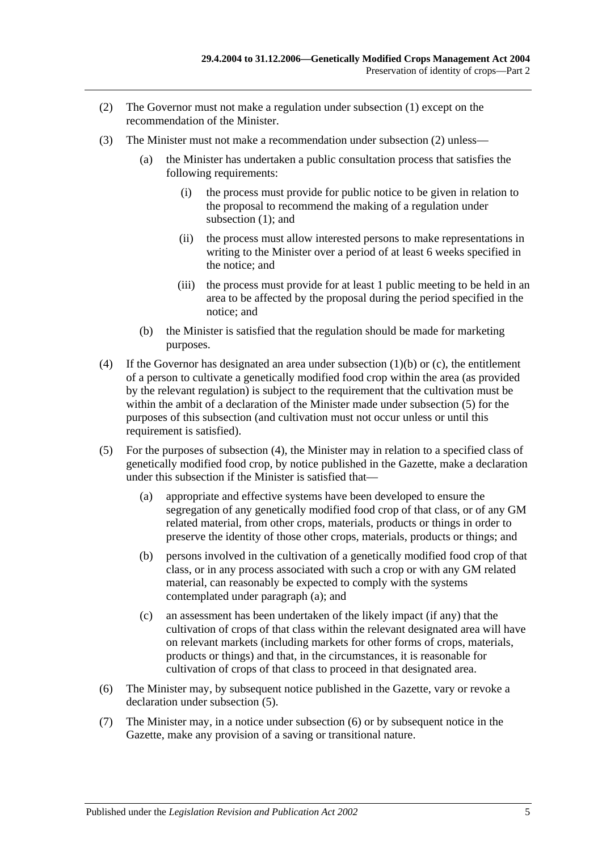- <span id="page-4-0"></span>(2) The Governor must not make a regulation under [subsection](#page-3-4) (1) except on the recommendation of the Minister.
- <span id="page-4-5"></span>(3) The Minister must not make a recommendation under [subsection](#page-4-0) (2) unless—
	- (a) the Minister has undertaken a public consultation process that satisfies the following requirements:
		- (i) the process must provide for public notice to be given in relation to the proposal to recommend the making of a regulation under [subsection](#page-3-4) (1); and
		- (ii) the process must allow interested persons to make representations in writing to the Minister over a period of at least 6 weeks specified in the notice; and
		- (iii) the process must provide for at least 1 public meeting to be held in an area to be affected by the proposal during the period specified in the notice; and
	- (b) the Minister is satisfied that the regulation should be made for marketing purposes.
- <span id="page-4-2"></span>(4) If the Governor has designated an area under [subsection](#page-3-5) (1)(b) or [\(c\),](#page-3-6) the entitlement of a person to cultivate a genetically modified food crop within the area (as provided by the relevant regulation) is subject to the requirement that the cultivation must be within the ambit of a declaration of the Minister made under [subsection](#page-4-1) (5) for the purposes of this subsection (and cultivation must not occur unless or until this requirement is satisfied).
- <span id="page-4-3"></span><span id="page-4-1"></span>(5) For the purposes of [subsection](#page-4-2) (4), the Minister may in relation to a specified class of genetically modified food crop, by notice published in the Gazette, make a declaration under this subsection if the Minister is satisfied that—
	- (a) appropriate and effective systems have been developed to ensure the segregation of any genetically modified food crop of that class, or of any GM related material, from other crops, materials, products or things in order to preserve the identity of those other crops, materials, products or things; and
	- (b) persons involved in the cultivation of a genetically modified food crop of that class, or in any process associated with such a crop or with any GM related material, can reasonably be expected to comply with the systems contemplated under [paragraph](#page-4-3) (a); and
	- (c) an assessment has been undertaken of the likely impact (if any) that the cultivation of crops of that class within the relevant designated area will have on relevant markets (including markets for other forms of crops, materials, products or things) and that, in the circumstances, it is reasonable for cultivation of crops of that class to proceed in that designated area.
- <span id="page-4-4"></span>(6) The Minister may, by subsequent notice published in the Gazette, vary or revoke a declaration under [subsection](#page-4-1) (5).
- (7) The Minister may, in a notice under [subsection](#page-4-4) (6) or by subsequent notice in the Gazette, make any provision of a saving or transitional nature.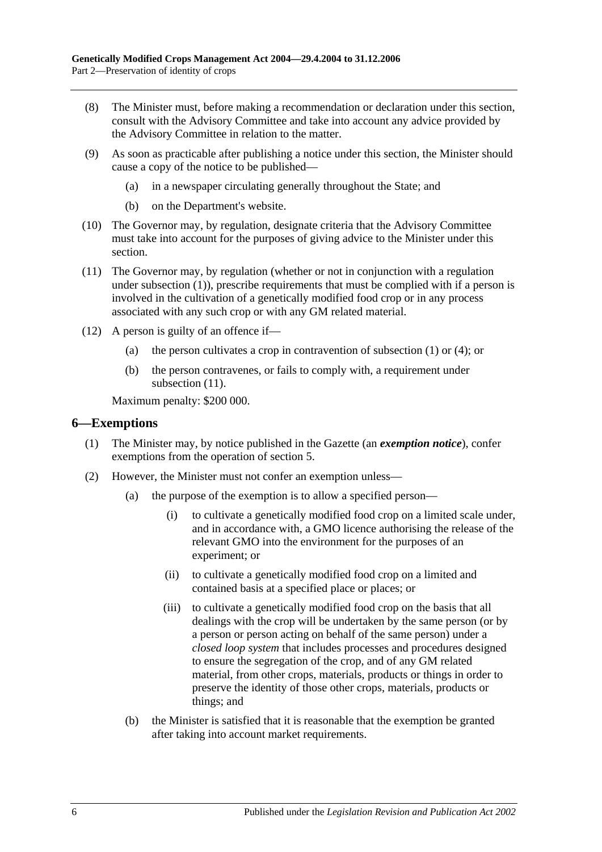- (8) The Minister must, before making a recommendation or declaration under this section, consult with the Advisory Committee and take into account any advice provided by the Advisory Committee in relation to the matter.
- (9) As soon as practicable after publishing a notice under this section, the Minister should cause a copy of the notice to be published—
	- (a) in a newspaper circulating generally throughout the State; and
	- (b) on the Department's website.
- (10) The Governor may, by regulation, designate criteria that the Advisory Committee must take into account for the purposes of giving advice to the Minister under this section.
- <span id="page-5-1"></span>(11) The Governor may, by regulation (whether or not in conjunction with a regulation under [subsection](#page-3-4) (1)), prescribe requirements that must be complied with if a person is involved in the cultivation of a genetically modified food crop or in any process associated with any such crop or with any GM related material.
- (12) A person is guilty of an offence if—
	- (a) the person cultivates a crop in contravention of [subsection](#page-3-4) (1) or [\(4\);](#page-4-2) or
	- (b) the person contravenes, or fails to comply with, a requirement under [subsection](#page-5-1)  $(11)$ .

Maximum penalty: \$200 000.

### <span id="page-5-0"></span>**6—Exemptions**

- (1) The Minister may, by notice published in the Gazette (an *exemption notice*), confer exemptions from the operation of [section](#page-3-2) 5.
- <span id="page-5-3"></span><span id="page-5-2"></span>(2) However, the Minister must not confer an exemption unless—
	- (a) the purpose of the exemption is to allow a specified person—
		- (i) to cultivate a genetically modified food crop on a limited scale under, and in accordance with, a GMO licence authorising the release of the relevant GMO into the environment for the purposes of an experiment; or
		- (ii) to cultivate a genetically modified food crop on a limited and contained basis at a specified place or places; or
		- (iii) to cultivate a genetically modified food crop on the basis that all dealings with the crop will be undertaken by the same person (or by a person or person acting on behalf of the same person) under a *closed loop system* that includes processes and procedures designed to ensure the segregation of the crop, and of any GM related material, from other crops, materials, products or things in order to preserve the identity of those other crops, materials, products or things; and
	- (b) the Minister is satisfied that it is reasonable that the exemption be granted after taking into account market requirements.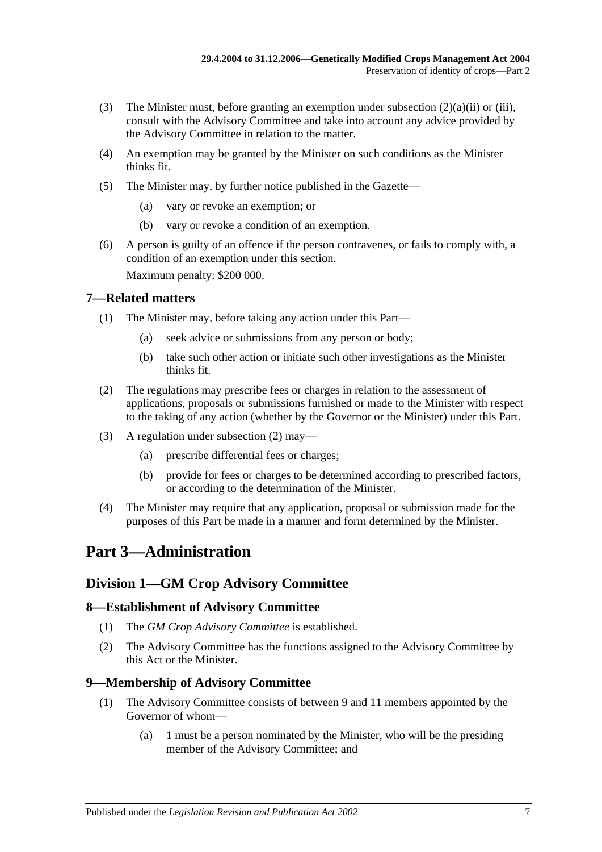- (3) The Minister must, before granting an exemption under [subsection](#page-5-2)  $(2)(a)(ii)$  or [\(iii\),](#page-5-3) consult with the Advisory Committee and take into account any advice provided by the Advisory Committee in relation to the matter.
- (4) An exemption may be granted by the Minister on such conditions as the Minister thinks fit.
- (5) The Minister may, by further notice published in the Gazette—
	- (a) vary or revoke an exemption; or
	- (b) vary or revoke a condition of an exemption.
- (6) A person is guilty of an offence if the person contravenes, or fails to comply with, a condition of an exemption under this section.

Maximum penalty: \$200 000.

### <span id="page-6-0"></span>**7—Related matters**

- (1) The Minister may, before taking any action under this Part—
	- (a) seek advice or submissions from any person or body;
	- (b) take such other action or initiate such other investigations as the Minister thinks fit.
- <span id="page-6-5"></span>(2) The regulations may prescribe fees or charges in relation to the assessment of applications, proposals or submissions furnished or made to the Minister with respect to the taking of any action (whether by the Governor or the Minister) under this Part.
- (3) A regulation under [subsection](#page-6-5) (2) may—
	- (a) prescribe differential fees or charges;
	- (b) provide for fees or charges to be determined according to prescribed factors, or according to the determination of the Minister.
- (4) The Minister may require that any application, proposal or submission made for the purposes of this Part be made in a manner and form determined by the Minister.

# <span id="page-6-1"></span>**Part 3—Administration**

### <span id="page-6-2"></span>**Division 1—GM Crop Advisory Committee**

### <span id="page-6-3"></span>**8—Establishment of Advisory Committee**

- (1) The *GM Crop Advisory Committee* is established.
- (2) The Advisory Committee has the functions assigned to the Advisory Committee by this Act or the Minister.

### <span id="page-6-4"></span>**9—Membership of Advisory Committee**

- (1) The Advisory Committee consists of between 9 and 11 members appointed by the Governor of whom—
	- (a) 1 must be a person nominated by the Minister, who will be the presiding member of the Advisory Committee; and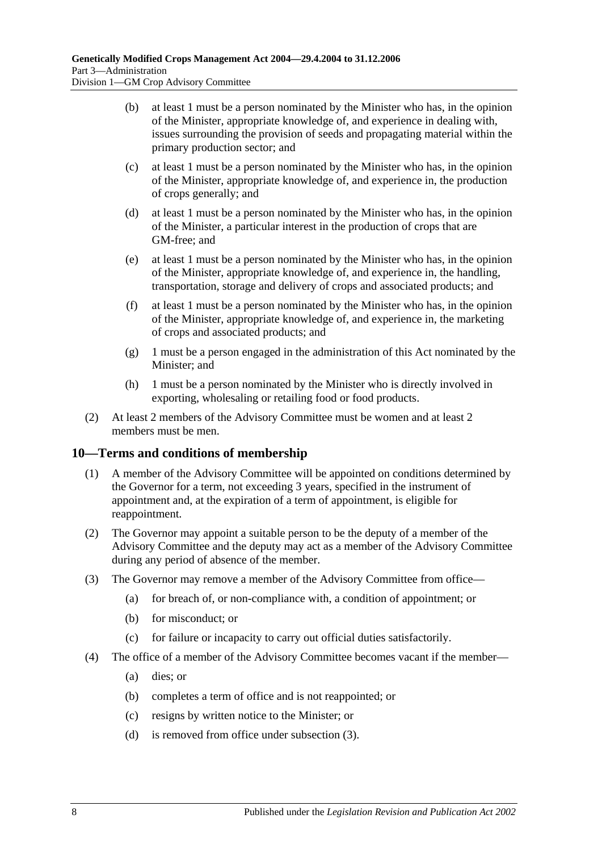- (b) at least 1 must be a person nominated by the Minister who has, in the opinion of the Minister, appropriate knowledge of, and experience in dealing with, issues surrounding the provision of seeds and propagating material within the primary production sector; and
- (c) at least 1 must be a person nominated by the Minister who has, in the opinion of the Minister, appropriate knowledge of, and experience in, the production of crops generally; and
- (d) at least 1 must be a person nominated by the Minister who has, in the opinion of the Minister, a particular interest in the production of crops that are GM-free; and
- (e) at least 1 must be a person nominated by the Minister who has, in the opinion of the Minister, appropriate knowledge of, and experience in, the handling, transportation, storage and delivery of crops and associated products; and
- (f) at least 1 must be a person nominated by the Minister who has, in the opinion of the Minister, appropriate knowledge of, and experience in, the marketing of crops and associated products; and
- (g) 1 must be a person engaged in the administration of this Act nominated by the Minister; and
- (h) 1 must be a person nominated by the Minister who is directly involved in exporting, wholesaling or retailing food or food products.
- (2) At least 2 members of the Advisory Committee must be women and at least 2 members must be men.

### <span id="page-7-0"></span>**10—Terms and conditions of membership**

- (1) A member of the Advisory Committee will be appointed on conditions determined by the Governor for a term, not exceeding 3 years, specified in the instrument of appointment and, at the expiration of a term of appointment, is eligible for reappointment.
- (2) The Governor may appoint a suitable person to be the deputy of a member of the Advisory Committee and the deputy may act as a member of the Advisory Committee during any period of absence of the member.
- <span id="page-7-1"></span>(3) The Governor may remove a member of the Advisory Committee from office—
	- (a) for breach of, or non-compliance with, a condition of appointment; or
	- (b) for misconduct; or
	- (c) for failure or incapacity to carry out official duties satisfactorily.
- (4) The office of a member of the Advisory Committee becomes vacant if the member—
	- (a) dies; or
	- (b) completes a term of office and is not reappointed; or
	- (c) resigns by written notice to the Minister; or
	- (d) is removed from office under [subsection](#page-7-1) (3).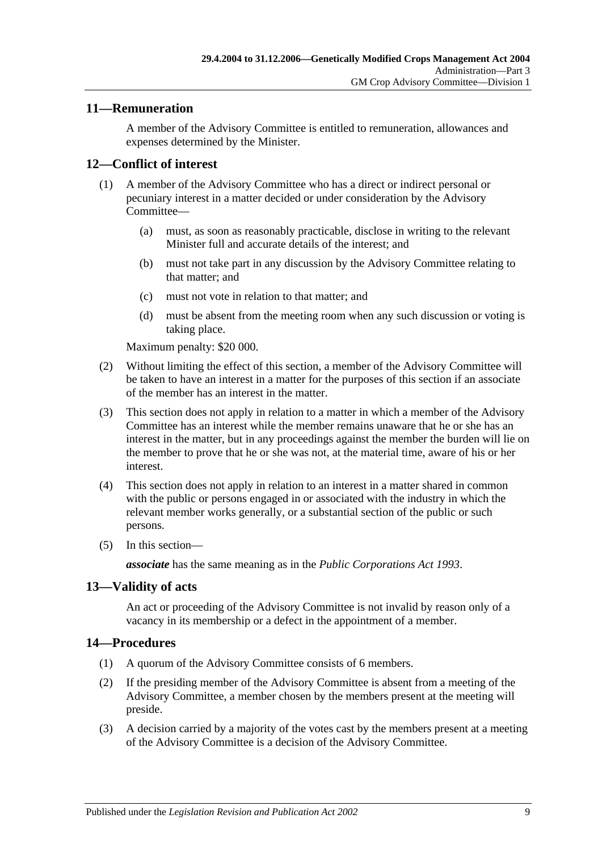### <span id="page-8-0"></span>**11—Remuneration**

A member of the Advisory Committee is entitled to remuneration, allowances and expenses determined by the Minister.

### <span id="page-8-1"></span>**12—Conflict of interest**

- (1) A member of the Advisory Committee who has a direct or indirect personal or pecuniary interest in a matter decided or under consideration by the Advisory Committee—
	- (a) must, as soon as reasonably practicable, disclose in writing to the relevant Minister full and accurate details of the interest; and
	- (b) must not take part in any discussion by the Advisory Committee relating to that matter; and
	- (c) must not vote in relation to that matter; and
	- (d) must be absent from the meeting room when any such discussion or voting is taking place.

Maximum penalty: \$20 000.

- (2) Without limiting the effect of this section, a member of the Advisory Committee will be taken to have an interest in a matter for the purposes of this section if an associate of the member has an interest in the matter.
- (3) This section does not apply in relation to a matter in which a member of the Advisory Committee has an interest while the member remains unaware that he or she has an interest in the matter, but in any proceedings against the member the burden will lie on the member to prove that he or she was not, at the material time, aware of his or her interest.
- (4) This section does not apply in relation to an interest in a matter shared in common with the public or persons engaged in or associated with the industry in which the relevant member works generally, or a substantial section of the public or such persons.
- (5) In this section—

*associate* has the same meaning as in the *[Public Corporations Act](http://www.legislation.sa.gov.au/index.aspx?action=legref&type=act&legtitle=Public%20Corporations%20Act%201993) 1993*.

### <span id="page-8-2"></span>**13—Validity of acts**

An act or proceeding of the Advisory Committee is not invalid by reason only of a vacancy in its membership or a defect in the appointment of a member.

### <span id="page-8-3"></span>**14—Procedures**

- (1) A quorum of the Advisory Committee consists of 6 members.
- (2) If the presiding member of the Advisory Committee is absent from a meeting of the Advisory Committee, a member chosen by the members present at the meeting will preside.
- (3) A decision carried by a majority of the votes cast by the members present at a meeting of the Advisory Committee is a decision of the Advisory Committee.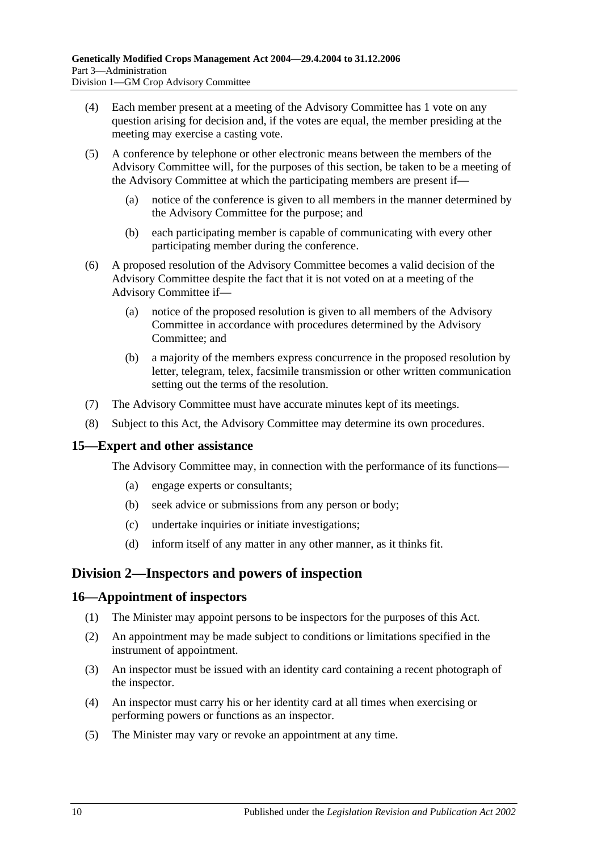- (4) Each member present at a meeting of the Advisory Committee has 1 vote on any question arising for decision and, if the votes are equal, the member presiding at the meeting may exercise a casting vote.
- (5) A conference by telephone or other electronic means between the members of the Advisory Committee will, for the purposes of this section, be taken to be a meeting of the Advisory Committee at which the participating members are present if—
	- (a) notice of the conference is given to all members in the manner determined by the Advisory Committee for the purpose; and
	- (b) each participating member is capable of communicating with every other participating member during the conference.
- (6) A proposed resolution of the Advisory Committee becomes a valid decision of the Advisory Committee despite the fact that it is not voted on at a meeting of the Advisory Committee if—
	- (a) notice of the proposed resolution is given to all members of the Advisory Committee in accordance with procedures determined by the Advisory Committee; and
	- (b) a majority of the members express concurrence in the proposed resolution by letter, telegram, telex, facsimile transmission or other written communication setting out the terms of the resolution.
- (7) The Advisory Committee must have accurate minutes kept of its meetings.
- (8) Subject to this Act, the Advisory Committee may determine its own procedures.

### <span id="page-9-0"></span>**15—Expert and other assistance**

The Advisory Committee may, in connection with the performance of its functions—

- (a) engage experts or consultants;
- (b) seek advice or submissions from any person or body;
- (c) undertake inquiries or initiate investigations;
- (d) inform itself of any matter in any other manner, as it thinks fit.

### <span id="page-9-1"></span>**Division 2—Inspectors and powers of inspection**

### <span id="page-9-2"></span>**16—Appointment of inspectors**

- (1) The Minister may appoint persons to be inspectors for the purposes of this Act.
- (2) An appointment may be made subject to conditions or limitations specified in the instrument of appointment.
- (3) An inspector must be issued with an identity card containing a recent photograph of the inspector.
- (4) An inspector must carry his or her identity card at all times when exercising or performing powers or functions as an inspector.
- (5) The Minister may vary or revoke an appointment at any time.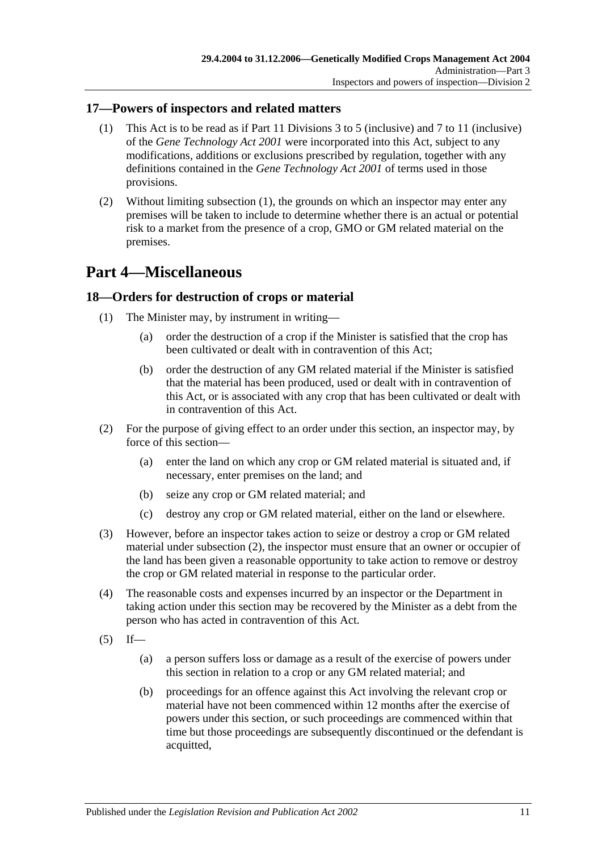### <span id="page-10-3"></span><span id="page-10-0"></span>**17—Powers of inspectors and related matters**

- (1) This Act is to be read as if Part 11 Divisions 3 to 5 (inclusive) and 7 to 11 (inclusive) of the *[Gene Technology Act](http://www.legislation.sa.gov.au/index.aspx?action=legref&type=act&legtitle=Gene%20Technology%20Act%202001) 2001* were incorporated into this Act, subject to any modifications, additions or exclusions prescribed by regulation, together with any definitions contained in the *[Gene Technology Act](http://www.legislation.sa.gov.au/index.aspx?action=legref&type=act&legtitle=Gene%20Technology%20Act%202001) 2001* of terms used in those provisions.
- (2) Without limiting [subsection](#page-10-3) (1), the grounds on which an inspector may enter any premises will be taken to include to determine whether there is an actual or potential risk to a market from the presence of a crop, GMO or GM related material on the premises.

## <span id="page-10-1"></span>**Part 4—Miscellaneous**

### <span id="page-10-2"></span>**18—Orders for destruction of crops or material**

- (1) The Minister may, by instrument in writing—
	- (a) order the destruction of a crop if the Minister is satisfied that the crop has been cultivated or dealt with in contravention of this Act;
	- (b) order the destruction of any GM related material if the Minister is satisfied that the material has been produced, used or dealt with in contravention of this Act, or is associated with any crop that has been cultivated or dealt with in contravention of this Act.
- <span id="page-10-4"></span>(2) For the purpose of giving effect to an order under this section, an inspector may, by force of this section—
	- (a) enter the land on which any crop or GM related material is situated and, if necessary, enter premises on the land; and
	- (b) seize any crop or GM related material; and
	- (c) destroy any crop or GM related material, either on the land or elsewhere.
- (3) However, before an inspector takes action to seize or destroy a crop or GM related material under [subsection](#page-10-4) (2), the inspector must ensure that an owner or occupier of the land has been given a reasonable opportunity to take action to remove or destroy the crop or GM related material in response to the particular order.
- (4) The reasonable costs and expenses incurred by an inspector or the Department in taking action under this section may be recovered by the Minister as a debt from the person who has acted in contravention of this Act.
- <span id="page-10-5"></span> $(5)$  If—
	- (a) a person suffers loss or damage as a result of the exercise of powers under this section in relation to a crop or any GM related material; and
	- (b) proceedings for an offence against this Act involving the relevant crop or material have not been commenced within 12 months after the exercise of powers under this section, or such proceedings are commenced within that time but those proceedings are subsequently discontinued or the defendant is acquitted,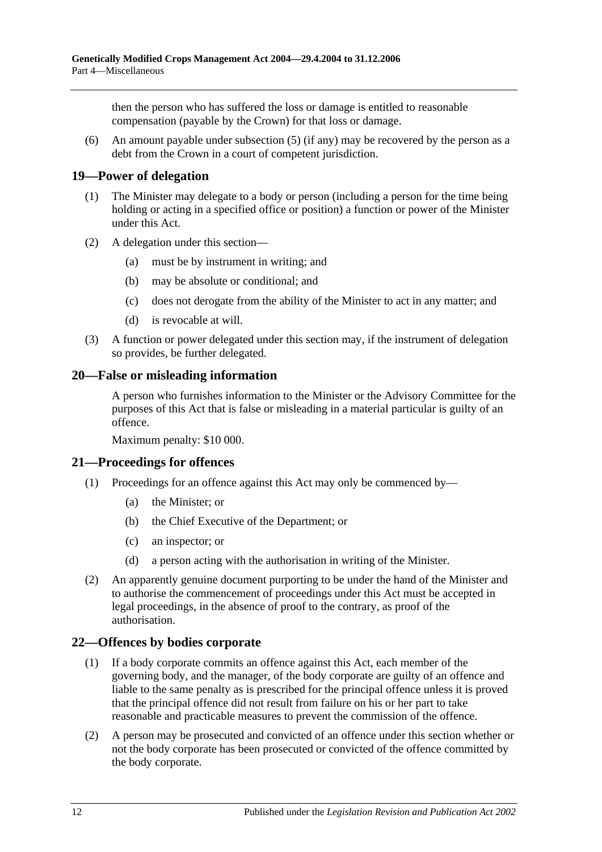then the person who has suffered the loss or damage is entitled to reasonable compensation (payable by the Crown) for that loss or damage.

(6) An amount payable under [subsection](#page-10-5) (5) (if any) may be recovered by the person as a debt from the Crown in a court of competent jurisdiction.

### <span id="page-11-0"></span>**19—Power of delegation**

- (1) The Minister may delegate to a body or person (including a person for the time being holding or acting in a specified office or position) a function or power of the Minister under this Act.
- (2) A delegation under this section—
	- (a) must be by instrument in writing; and
	- (b) may be absolute or conditional; and
	- (c) does not derogate from the ability of the Minister to act in any matter; and
	- (d) is revocable at will.
- (3) A function or power delegated under this section may, if the instrument of delegation so provides, be further delegated.

### <span id="page-11-1"></span>**20—False or misleading information**

A person who furnishes information to the Minister or the Advisory Committee for the purposes of this Act that is false or misleading in a material particular is guilty of an offence.

Maximum penalty: \$10 000.

### <span id="page-11-2"></span>**21—Proceedings for offences**

- (1) Proceedings for an offence against this Act may only be commenced by—
	- (a) the Minister; or
	- (b) the Chief Executive of the Department; or
	- (c) an inspector; or
	- (d) a person acting with the authorisation in writing of the Minister.
- (2) An apparently genuine document purporting to be under the hand of the Minister and to authorise the commencement of proceedings under this Act must be accepted in legal proceedings, in the absence of proof to the contrary, as proof of the authorisation.

### <span id="page-11-3"></span>**22—Offences by bodies corporate**

- (1) If a body corporate commits an offence against this Act, each member of the governing body, and the manager, of the body corporate are guilty of an offence and liable to the same penalty as is prescribed for the principal offence unless it is proved that the principal offence did not result from failure on his or her part to take reasonable and practicable measures to prevent the commission of the offence.
- (2) A person may be prosecuted and convicted of an offence under this section whether or not the body corporate has been prosecuted or convicted of the offence committed by the body corporate.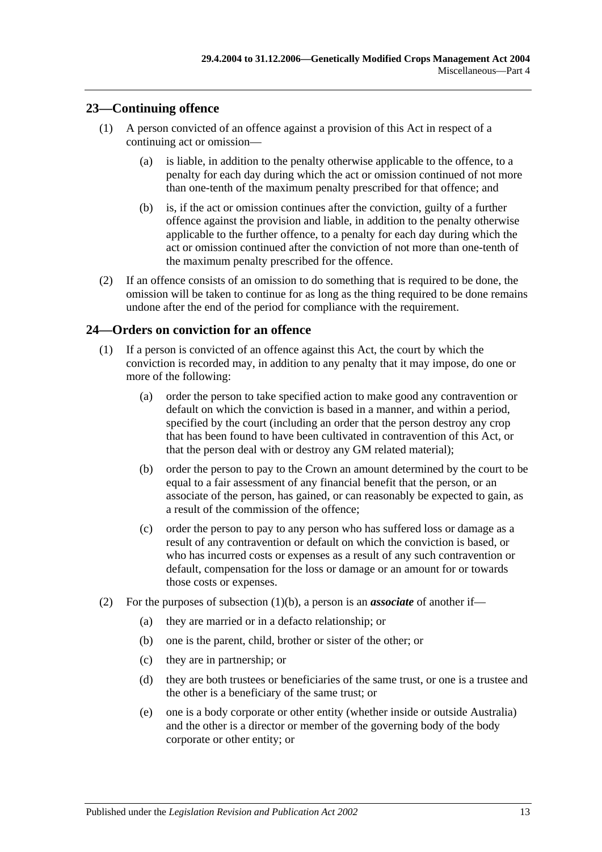### <span id="page-12-0"></span>**23—Continuing offence**

- (1) A person convicted of an offence against a provision of this Act in respect of a continuing act or omission—
	- (a) is liable, in addition to the penalty otherwise applicable to the offence, to a penalty for each day during which the act or omission continued of not more than one-tenth of the maximum penalty prescribed for that offence; and
	- (b) is, if the act or omission continues after the conviction, guilty of a further offence against the provision and liable, in addition to the penalty otherwise applicable to the further offence, to a penalty for each day during which the act or omission continued after the conviction of not more than one-tenth of the maximum penalty prescribed for the offence.
- (2) If an offence consists of an omission to do something that is required to be done, the omission will be taken to continue for as long as the thing required to be done remains undone after the end of the period for compliance with the requirement.

### <span id="page-12-1"></span>**24—Orders on conviction for an offence**

- <span id="page-12-2"></span>(1) If a person is convicted of an offence against this Act, the court by which the conviction is recorded may, in addition to any penalty that it may impose, do one or more of the following:
	- (a) order the person to take specified action to make good any contravention or default on which the conviction is based in a manner, and within a period, specified by the court (including an order that the person destroy any crop that has been found to have been cultivated in contravention of this Act, or that the person deal with or destroy any GM related material);
	- (b) order the person to pay to the Crown an amount determined by the court to be equal to a fair assessment of any financial benefit that the person, or an associate of the person, has gained, or can reasonably be expected to gain, as a result of the commission of the offence;
	- (c) order the person to pay to any person who has suffered loss or damage as a result of any contravention or default on which the conviction is based, or who has incurred costs or expenses as a result of any such contravention or default, compensation for the loss or damage or an amount for or towards those costs or expenses.
- <span id="page-12-3"></span>(2) For the purposes of [subsection](#page-12-2)  $(1)(b)$ , a person is an *associate* of another if—
	- (a) they are married or in a defacto relationship; or
	- (b) one is the parent, child, brother or sister of the other; or
	- (c) they are in partnership; or
	- (d) they are both trustees or beneficiaries of the same trust, or one is a trustee and the other is a beneficiary of the same trust; or
	- (e) one is a body corporate or other entity (whether inside or outside Australia) and the other is a director or member of the governing body of the body corporate or other entity; or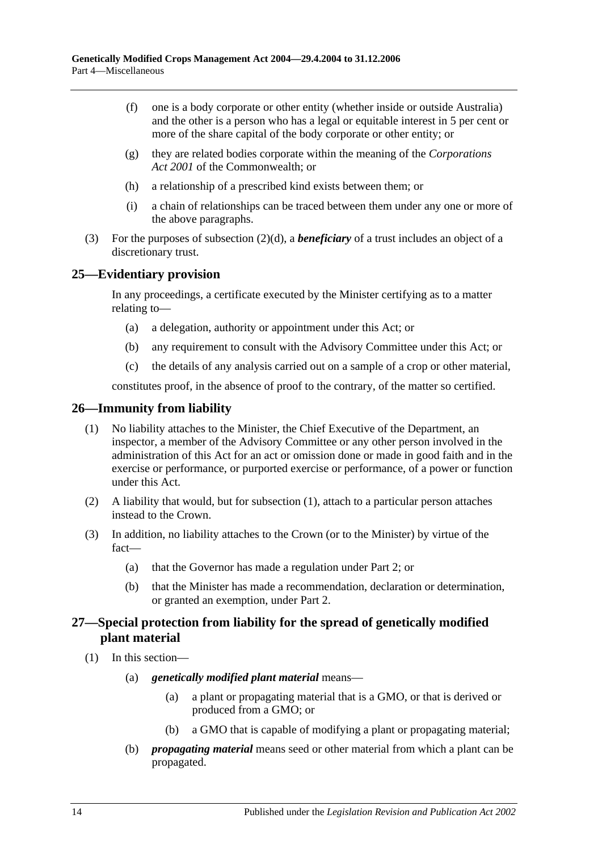- (f) one is a body corporate or other entity (whether inside or outside Australia) and the other is a person who has a legal or equitable interest in 5 per cent or more of the share capital of the body corporate or other entity; or
- (g) they are related bodies corporate within the meaning of the *Corporations Act 2001* of the Commonwealth; or
- (h) a relationship of a prescribed kind exists between them; or
- (i) a chain of relationships can be traced between them under any one or more of the above paragraphs.
- (3) For the purposes of [subsection](#page-12-3) (2)(d), a *beneficiary* of a trust includes an object of a discretionary trust.

### <span id="page-13-0"></span>**25—Evidentiary provision**

In any proceedings, a certificate executed by the Minister certifying as to a matter relating to—

- (a) a delegation, authority or appointment under this Act; or
- (b) any requirement to consult with the Advisory Committee under this Act; or
- (c) the details of any analysis carried out on a sample of a crop or other material,

constitutes proof, in the absence of proof to the contrary, of the matter so certified.

### <span id="page-13-3"></span><span id="page-13-1"></span>**26—Immunity from liability**

- (1) No liability attaches to the Minister, the Chief Executive of the Department, an inspector, a member of the Advisory Committee or any other person involved in the administration of this Act for an act or omission done or made in good faith and in the exercise or performance, or purported exercise or performance, of a power or function under this Act.
- (2) A liability that would, but for [subsection](#page-13-3) (1), attach to a particular person attaches instead to the Crown.
- (3) In addition, no liability attaches to the Crown (or to the Minister) by virtue of the fact—
	- (a) that the Governor has made a regulation under [Part 2;](#page-3-1) or
	- (b) that the Minister has made a recommendation, declaration or determination, or granted an exemption, under [Part 2.](#page-3-1)

### <span id="page-13-2"></span>**27—Special protection from liability for the spread of genetically modified plant material**

- (1) In this section—
	- (a) *genetically modified plant material* means—
		- (a) a plant or propagating material that is a GMO, or that is derived or produced from a GMO; or
		- (b) a GMO that is capable of modifying a plant or propagating material;
	- (b) *propagating material* means seed or other material from which a plant can be propagated.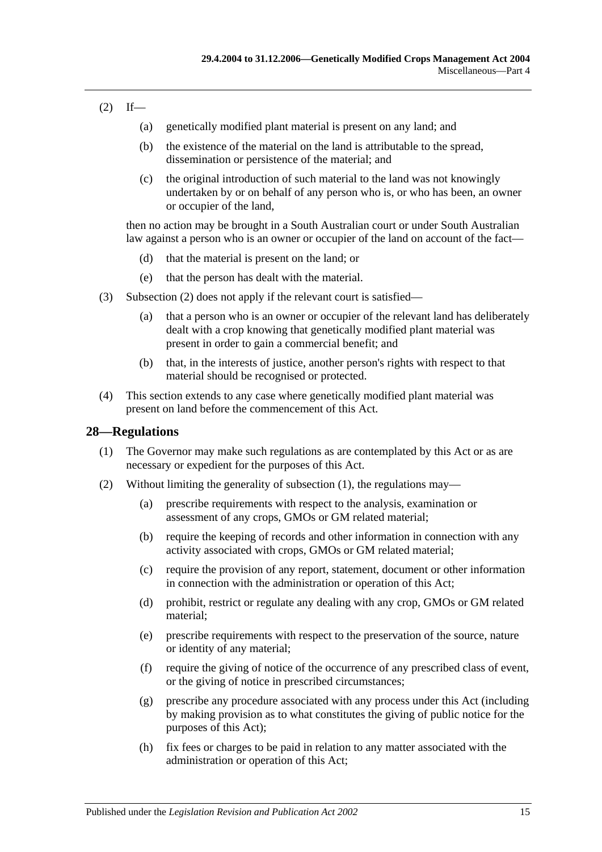### <span id="page-14-1"></span> $(2)$  If—

- (a) genetically modified plant material is present on any land; and
- (b) the existence of the material on the land is attributable to the spread, dissemination or persistence of the material; and
- (c) the original introduction of such material to the land was not knowingly undertaken by or on behalf of any person who is, or who has been, an owner or occupier of the land,

then no action may be brought in a South Australian court or under South Australian law against a person who is an owner or occupier of the land on account of the fact—

- (d) that the material is present on the land; or
- (e) that the person has dealt with the material.
- (3) [Subsection](#page-14-1) (2) does not apply if the relevant court is satisfied—
	- (a) that a person who is an owner or occupier of the relevant land has deliberately dealt with a crop knowing that genetically modified plant material was present in order to gain a commercial benefit; and
	- (b) that, in the interests of justice, another person's rights with respect to that material should be recognised or protected.
- (4) This section extends to any case where genetically modified plant material was present on land before the commencement of this Act.

### <span id="page-14-2"></span><span id="page-14-0"></span>**28—Regulations**

- (1) The Governor may make such regulations as are contemplated by this Act or as are necessary or expedient for the purposes of this Act.
- (2) Without limiting the generality of [subsection](#page-14-2) (1), the regulations may—
	- (a) prescribe requirements with respect to the analysis, examination or assessment of any crops, GMOs or GM related material;
	- (b) require the keeping of records and other information in connection with any activity associated with crops, GMOs or GM related material;
	- (c) require the provision of any report, statement, document or other information in connection with the administration or operation of this Act;
	- (d) prohibit, restrict or regulate any dealing with any crop, GMOs or GM related material;
	- (e) prescribe requirements with respect to the preservation of the source, nature or identity of any material;
	- (f) require the giving of notice of the occurrence of any prescribed class of event, or the giving of notice in prescribed circumstances;
	- (g) prescribe any procedure associated with any process under this Act (including by making provision as to what constitutes the giving of public notice for the purposes of this Act);
	- (h) fix fees or charges to be paid in relation to any matter associated with the administration or operation of this Act;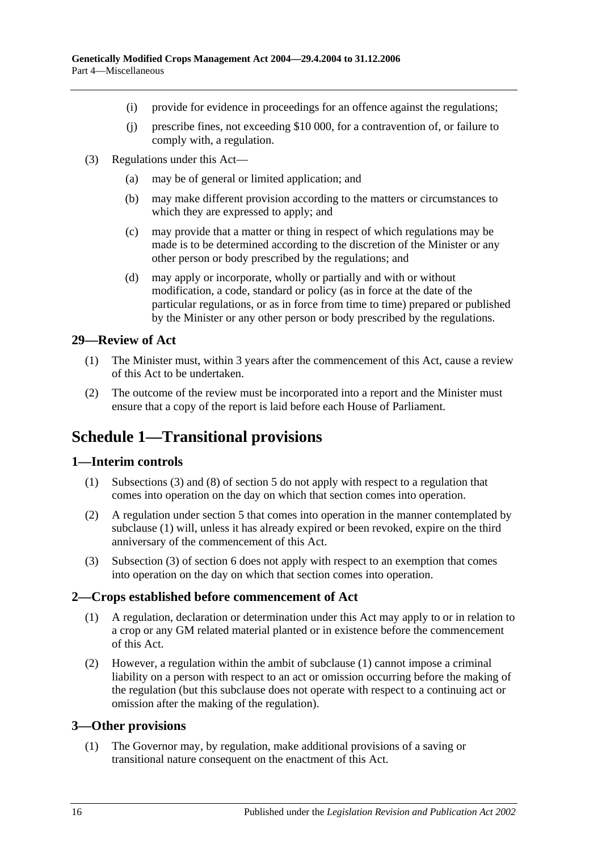- (i) provide for evidence in proceedings for an offence against the regulations;
- (j) prescribe fines, not exceeding \$10 000, for a contravention of, or failure to comply with, a regulation.
- (3) Regulations under this Act—
	- (a) may be of general or limited application; and
	- (b) may make different provision according to the matters or circumstances to which they are expressed to apply; and
	- (c) may provide that a matter or thing in respect of which regulations may be made is to be determined according to the discretion of the Minister or any other person or body prescribed by the regulations; and
	- (d) may apply or incorporate, wholly or partially and with or without modification, a code, standard or policy (as in force at the date of the particular regulations, or as in force from time to time) prepared or published by the Minister or any other person or body prescribed by the regulations.

### <span id="page-15-0"></span>**29—Review of Act**

- (1) The Minister must, within 3 years after the commencement of this Act, cause a review of this Act to be undertaken.
- (2) The outcome of the review must be incorporated into a report and the Minister must ensure that a copy of the report is laid before each House of Parliament.

# <span id="page-15-1"></span>**Schedule 1—Transitional provisions**

### <span id="page-15-5"></span><span id="page-15-2"></span>**1—Interim controls**

- (1) [Subsections](#page-4-5) (3) and (8) of [section](#page-3-2) 5 do not apply with respect to a regulation that comes into operation on the day on which that section comes into operation.
- (2) A regulation under [section](#page-3-2) 5 that comes into operation in the manner contemplated by [subclause](#page-15-5) (1) will, unless it has already expired or been revoked, expire on the third anniversary of the commencement of this Act.
- (3) Subsection (3) of section 6 does not apply with respect to an exemption that comes into operation on the day on which that section comes into operation.

### <span id="page-15-6"></span><span id="page-15-3"></span>**2—Crops established before commencement of Act**

- (1) A regulation, declaration or determination under this Act may apply to or in relation to a crop or any GM related material planted or in existence before the commencement of this Act.
- (2) However, a regulation within the ambit of [subclause](#page-15-6) (1) cannot impose a criminal liability on a person with respect to an act or omission occurring before the making of the regulation (but this subclause does not operate with respect to a continuing act or omission after the making of the regulation).

### <span id="page-15-7"></span><span id="page-15-4"></span>**3—Other provisions**

(1) The Governor may, by regulation, make additional provisions of a saving or transitional nature consequent on the enactment of this Act.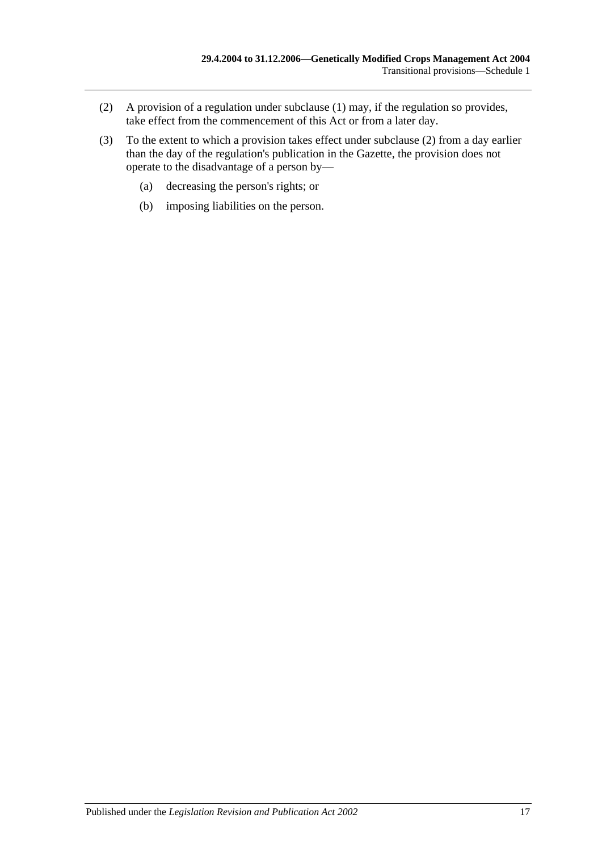- <span id="page-16-0"></span>(2) A provision of a regulation under [subclause](#page-15-7) (1) may, if the regulation so provides, take effect from the commencement of this Act or from a later day.
- (3) To the extent to which a provision takes effect under [subclause](#page-16-0) (2) from a day earlier than the day of the regulation's publication in the Gazette, the provision does not operate to the disadvantage of a person by—
	- (a) decreasing the person's rights; or
	- (b) imposing liabilities on the person.